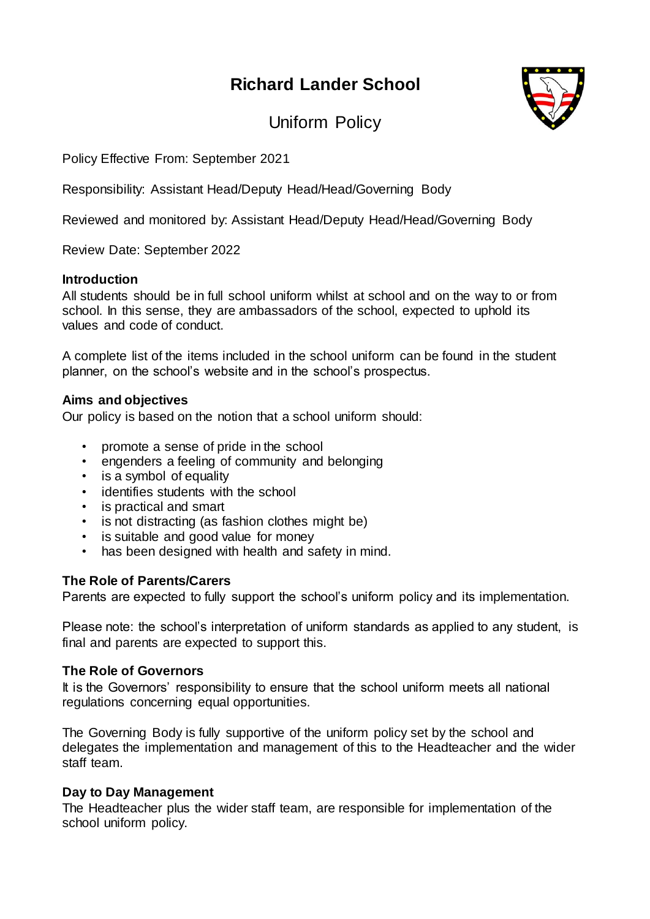# **Richard Lander School**



Uniform Policy

Policy Effective From: September 2021

Responsibility: Assistant Head/Deputy Head/Head/Governing Body

Reviewed and monitored by: Assistant Head/Deputy Head/Head/Governing Body

Review Date: September 2022

#### **Introduction**

All students should be in full school uniform whilst at school and on the way to or from school. In this sense, they are ambassadors of the school, expected to uphold its values and code of conduct.

A complete list of the items included in the school uniform can be found in the student planner, on the school's website and in the school's prospectus.

## **Aims and objectives**

Our policy is based on the notion that a school uniform should:

- promote a sense of pride in the school
- engenders a feeling of community and belonging
- is a symbol of equality
- identifies students with the school
- is practical and smart
- is not distracting (as fashion clothes might be)
- is suitable and good value for money
- has been designed with health and safety in mind.

# **The Role of Parents/Carers**

Parents are expected to fully support the school's uniform policy and its implementation.

Please note: the school's interpretation of uniform standards as applied to any student, is final and parents are expected to support this.

#### **The Role of Governors**

It is the Governors' responsibility to ensure that the school uniform meets all national regulations concerning equal opportunities.

The Governing Body is fully supportive of the uniform policy set by the school and delegates the implementation and management of this to the Headteacher and the wider staff team.

#### **Day to Day Management**

The Headteacher plus the wider staff team, are responsible for implementation of the school uniform policy.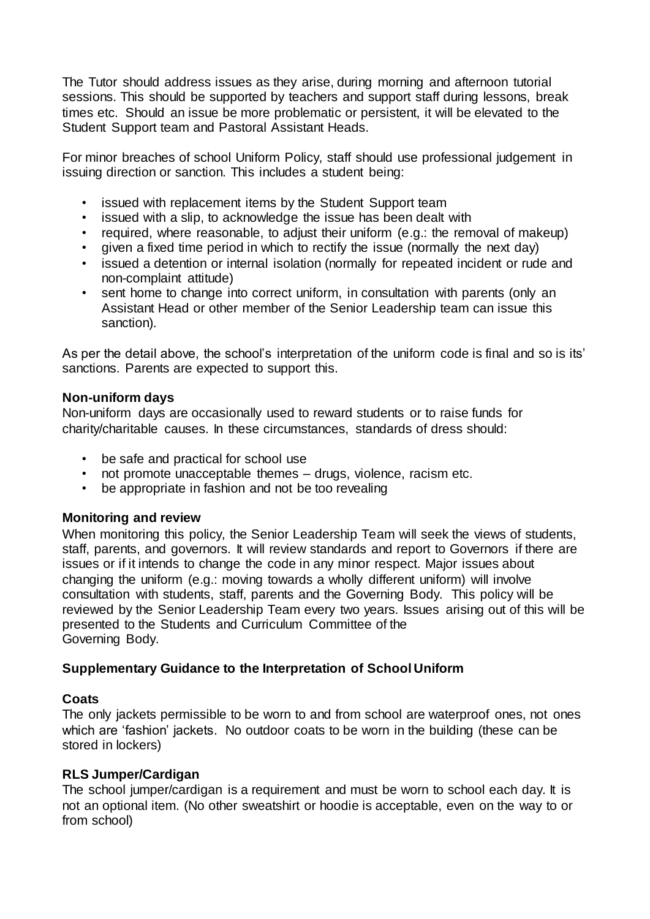The Tutor should address issues as they arise, during morning and afternoon tutorial sessions. This should be supported by teachers and support staff during lessons, break times etc. Should an issue be more problematic or persistent, it will be elevated to the Student Support team and Pastoral Assistant Heads.

For minor breaches of school Uniform Policy, staff should use professional judgement in issuing direction or sanction. This includes a student being:

- issued with replacement items by the Student Support team<br>• issued with a slip, to acknowledge the issue has been dealt
- issued with a slip, to acknowledge the issue has been dealt with
- required, where reasonable, to adjust their uniform (e.g.: the removal of makeup)<br>•  $\frac{1}{2}$  given a fixed time neriod in which to rectify the issue (normally the next day)
- given a fixed time period in which to rectify the issue (normally the next day)
- issued a detention or internal isolation (normally for repeated incident or rude and non-complaint attitude)
- sent home to change into correct uniform, in consultation with parents (only an Assistant Head or other member of the Senior Leadership team can issue this sanction).

As per the detail above, the school's interpretation of the uniform code is final and so is its' sanctions. Parents are expected to support this.

#### **Non-uniform days**

Non-uniform days are occasionally used to reward students or to raise funds for charity/charitable causes. In these circumstances, standards of dress should:

- be safe and practical for school use
- not promote unacceptable themes drugs, violence, racism etc.
- be appropriate in fashion and not be too revealing

#### **Monitoring and review**

When monitoring this policy, the Senior Leadership Team will seek the views of students, staff, parents, and governors. It will review standards and report to Governors if there are issues or if it intends to change the code in any minor respect. Major issues about changing the uniform (e.g.: moving towards a wholly different uniform) will involve consultation with students, staff, parents and the Governing Body. This policy will be reviewed by the Senior Leadership Team every two years. Issues arising out of this will be presented to the Students and Curriculum Committee of the Governing Body.

#### **Supplementary Guidance to the Interpretation of School Uniform**

#### **Coats**

The only jackets permissible to be worn to and from school are waterproof ones, not ones which are 'fashion' jackets. No outdoor coats to be worn in the building (these can be stored in lockers)

#### **RLS Jumper/Cardigan**

The school jumper/cardigan is a requirement and must be worn to school each day. It is not an optional item. (No other sweatshirt or hoodie is acceptable, even on the way to or from school)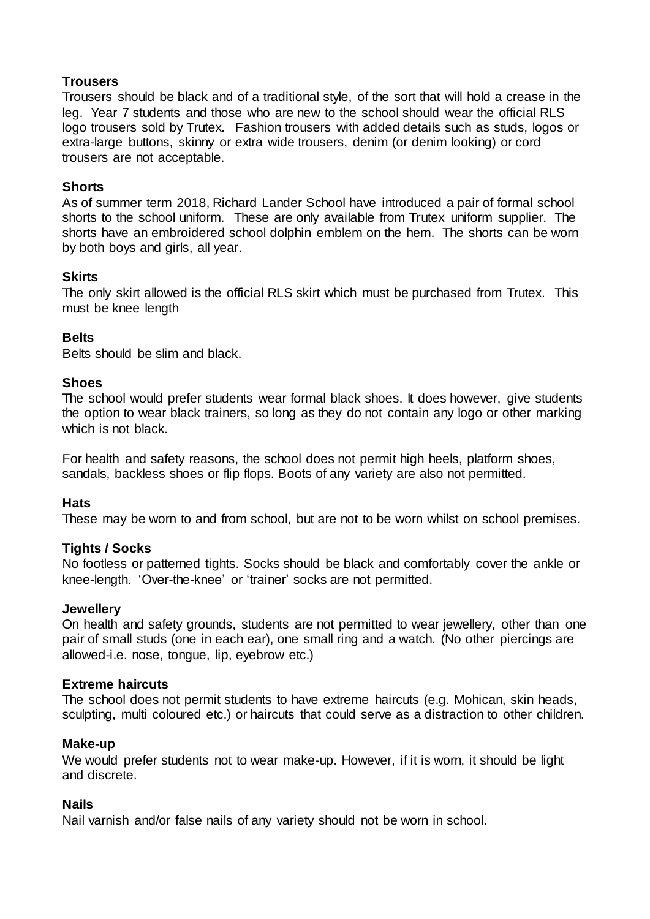## **Trousers**

Trousers should be black and of a traditional style, of the sort that will hold a crease in the leg. Year 7 students and those who are new to the school should wear the official RLS logo trousers sold by Trutex. Fashion trousers with added details such as studs, logos or extra-large buttons, skinny or extra wide trousers, denim (or denim looking) or cord trousers are not acceptable.

#### **Shorts**

As of summer term 2018, Richard Lander School have introduced a pair of formal school shorts to the school uniform. These are only available from Trutex uniform supplier. The shorts have an embroidered school dolphin emblem on the hem. The shorts can be worn by both boys and girls, all year.

## **Skirts**

The only skirt allowed is the official RLS skirt which must be purchased from Trutex. This must be knee length

# **Belts**

Belts should be slim and black.

## **Shoes**

The school would prefer students wear formal black shoes. It does however, give students the option to wear black trainers, so long as they do not contain any logo or other marking which is not black.

For health and safety reasons, the school does not permit high heels, platform shoes, sandals, backless shoes or flip flops. Boots of any variety are also not permitted.

# **Hats**

These may be worn to and from school, but are not to be worn whilst on school premises.

# **Tights / Socks**

No footless or patterned tights. Socks should be black and comfortably cover the ankle or knee-length. 'Over-the-knee' or 'trainer' socks are not permitted.

#### **Jewellery**

On health and safety grounds, students are not permitted to wear jewellery, other than one pair of small studs (one in each ear), one small ring and a watch. (No other piercings are allowed-i.e. nose, tongue, lip, eyebrow etc.)

#### **Extreme haircuts**

The school does not permit students to have extreme haircuts (e.g. Mohican, skin heads, sculpting, multi coloured etc.) or haircuts that could serve as a distraction to other children.

#### **Make-up**

We would prefer students not to wear make-up. However, if it is worn, it should be light and discrete.

#### **Nails**

Nail varnish and/or false nails of any variety should not be worn in school.